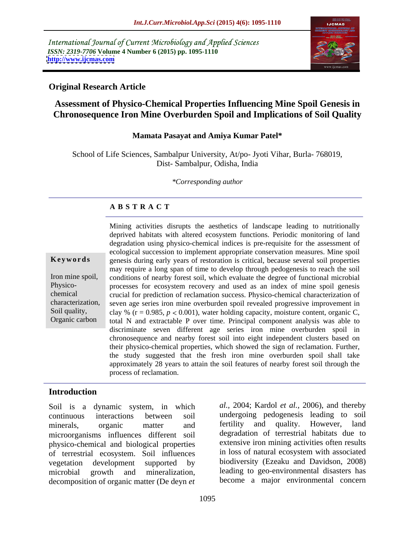International Journal of Current Microbiology and Applied Sciences *ISSN: 2319-7706* **Volume 4 Number 6 (2015) pp. 1095-1110 <http://www.ijcmas.com>**



### **Original Research Article**

# **Assessment of Physico-Chemical Properties Influencing Mine Spoil Genesis in Chronosequence Iron Mine Overburden Spoil and Implications of Soil Quality**

### **Mamata Pasayat and Amiya Kumar Patel\***

School of Life Sciences, Sambalpur University, At/po- Jyoti Vihar, Burla- 768019, Dist- Sambalpur, Odisha, India

*\*Corresponding author*

# **A B S T R A C T**

Organic carbon

Mining activities disrupts the aesthetics of landscape leading to nutritionally deprived habitats with altered ecosystem functions. Periodic monitoring of land degradation using physico-chemical indices is pre-requisite for the assessment of ecological succession to implement appropriate conservation measures. Mine spoil **Keywords** genesis during early years of restoration is critical, because several soil properties may require a long span of time to develop through pedogenesis to reach the soil Iron mine spoil, conditions of nearby forest soil, which evaluate the degree of functional microbial processes for ecosystem recovery and used as an index of mine spoil genesis Physico crucial for prediction of reclamation success. Physico-chemical characterization of chemical characterization, seven age series iron mine overburden spoil revealed progressive improvement in Soil quality, clay % ( $r = 0.985$ ,  $p < 0.001$ ), water holding capacity, moisture content, organic C, total N and extractable P over time. Principal component analysis was able to discriminate seven different age series iron mine overburden spoil in chronosequence and nearby forest soil into eight independent clusters based on their physico-chemical properties, which showed the sign of reclamation. Further, the study suggested that the fresh iron mine overburden spoil shall take approximately 28 years to attain the soil features of nearby forest soil through the process of reclamation.

# **Introduction**

Soil is a dynamic system, in which continuous interactions between soil undergoing pedogenesis leading to soil minerals, organic matter and fertility and quality. However, land microorganisms influences different soil physico-chemical and biological properties of terrestrial ecosystem. Soil influences vegetation development supported by biodiversity (Ezeaku and Davidson, 2008) microbial growth and mineralization, leading to geo-environmental disasters has decomposition of organic matter (De deyn *et*

*al.,* 2004; Kardol *et al.,* 2006), and thereby fertility and quality. However, land degradation of terrestrial habitats due to extensive iron mining activities often results in loss of natural ecosystem with associated become a major environmental concern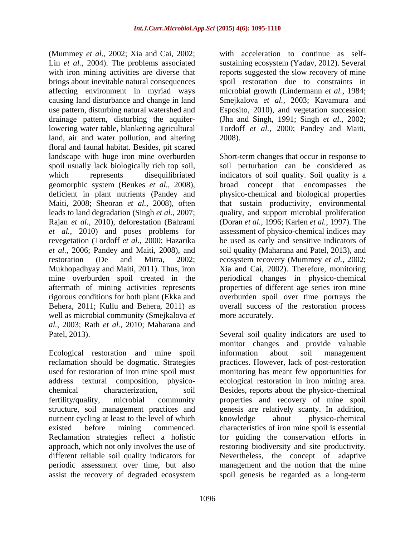(Mummey *et al.,* 2002; Xia and Cai, 2002; Lin *et al.*, 2004). The problems associated sustaining ecosystem (Yadav, 2012). Several with iron mining activities are diverse that reports suggested the slow recovery of mine brings about inevitable natural consequences spoil restoration due to constraints in affecting environment in myriad ways microbial growth (Lindermann *et al.,* 1984; causing land disturbance and change in land Smejkalova *et al.,* 2003; Kavamura and use pattern, disturbing natural watershed and Esposito, 2010), and vegetation succession drainage pattern, disturbing the aquifer-(Jha and Singh, 1991; Singh *et al.,* 2002; lowering water table, blanketing agricultural Tordoff *et al.,* 2000; Pandey and Maiti, land, air and water pollution, and altering 2008). floral and faunal habitat. Besides, pit scared deficient in plant nutrients (Pandey and well as microbial community (Smejkalova *et al.,* 2003; Rath *et al.,* 2010; Maharana and

Ecological restoration and mine spoil nutrient cycling at least to the level of which knowledge about physico-chemical

with acceleration to continue as self- 2008).

landscape with huge iron mine overburden Short-term changes that occur in response to spoil usually lack biologically rich top soil, soil perturbation can be considered as which represents disequilibriated indicators of soil quality. Soil quality is a geomorphic system (Beukes *et al.,* 2008), broad concept that encompasses the Maiti, 2008; Sheoran *et al.,* 2008), often that sustain productivity, environmental leads to land degradation (Singh *et al.,* 2007; quality, and support microbial proliferation Rajan *et al.,* 2010), deforestation (Bahrami (Doran *et al.,* 1996; Karlen *et al.,* 1997). The *et al.,* 2010) and poses problems for assessment of physico-chemical indices may revegetation (Tordoff *et al.,* 2000; Hazarika be used as early and sensitive indicators of *et al.,* 2006; Pandey and Maiti, 2008), and soil quality (Maharana and Patel, 2013), and restoration (De and Mitra, 2002; ecosystem recovery (Mummey *et al.,* 2002; Mukhopadhyay and Maiti, 2011). Thus, iron Xia and Cai, 2002). Therefore, monitoring mine overburden spoil created in the periodical changes in physico-chemical aftermath of mining activities represents properties of different age series iron mine rigorous conditions for both plant (Ekka and overburden spoil over time portrays the Behera, 2011; Kullu and Behera, 2011) as overall success of the restoration process physico-chemical and biological properties more accurately.

Patel, 2013). Several soil quality indicators are used to reclamation should be dogmatic. Strategies practices. However, lack of post-restoration used for restoration of iron mine spoil must monitoring has meant few opportunities for address textural composition, physico- ecological restoration in iron mining area. chemical characterization, soil Besides, reports about the physico-chemical fertility/quality, microbial community properties and recovery of mine spoil structure, soil management practices and genesis are relatively scanty. In addition, existed before mining commenced. characteristics of iron mine spoil is essential Reclamation strategies reflect a holistic of the guiding the conservation efforts in approach, which not only involves the use of restoring biodiversity and site productivity. different reliable soil quality indicators for Nevertheless, the concept of adaptive periodic assessment over time, but also management and the notion that the mine assist the recovery of degraded ecosystem spoil genesis be regarded as a long-term monitor changes and provide valuable information about soil management knowledge about physico-chemical spoil genesis be regarded as a long-term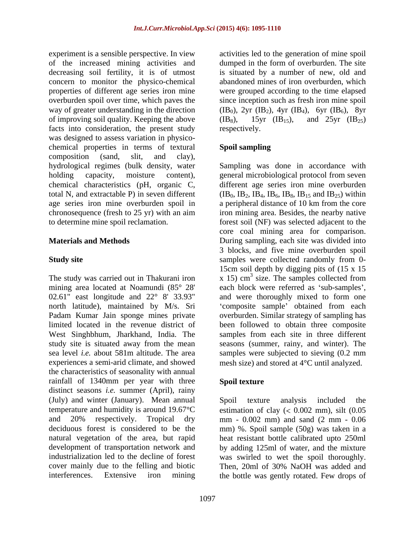experiment is a sensible perspective. In view of the increased mining activities and decreasing soil fertility, it is of utmost is situated by a number of new, old and concern to monitor the physico-chemical abandoned mines of iron overburden, which properties of different age series iron mine were grouped according to the time elapsed overburden spoil over time, which paves the since inception such as fresh iron mine spoil way of greater understanding in the direction  $(IB_0)$ , 2yr  $(IB_2)$ , 4yr  $(IB_4)$ , 6yr  $(IB_6)$ , 8yr of improving soil quality. Keeping the above  $(IB_8)$ , 15yr  $(IB_{15})$ , and 25yr  $(IB_{25})$ facts into consideration, the present study respectively. was designed to assess variation in physico chemical properties in terms of textural composition (sand, slit, and clay), hydrological regimes (bulk density, water Sampling was done in accordance with holding capacity, moisture content), general microbiological protocol from seven chemical characteristics (pH, organic C, different age series iron mine overburden total N, and extractable P) in seven different  $(IB_0, IB_2, IB_4, IB_6, IB_8, IB_{15} \text{ and } IB_{25})$  within age series iron mine overburden spoil in a peripheral distance of 10 km from the core chronosequence (fresh to 25 yr) with an aim iron mining area. Besides, the nearby native to determine mine spoil reclamation. forest soil (NF) was selected adjacent to the

The study was carried out in Thakurani iron north latitude), maintained by M/s. Sri <br>
"composite sample" obtained from each Padam Kumar Jain sponge mines private the characteristics of seasonality with annual rainfall of 1340mm per year with three Spoil texture distinct seasons *i.e.* summer (April), rainy (July) and winter (January). Mean annual cover mainly due to the felling and biotic Then, 20ml of 30% NaOH was added and

activities led to the generation of minespoil dumped in the form of overburden. The site (IB<sub>8</sub>), 15yr (IB<sub>15</sub>), and 25yr (IB<sub>25</sub>) respectively.

# **Spoil sampling**

**Materials and Methods Example 3 During sampling, each site was divided into Study site** samples were collected randomly from 0 mining area located at Noamundi (85° 28' each block were referred as 'sub-samples', 02.61" east longitude and 22° 8' 33.93" and were thoroughly mixed to form one limited located in the revenue district of been followed to obtain three composite West Singhbhum, Jharkhand, India. The samples from each site in three different study site is situated away from the mean seasons (summer, rainy, and winter).The sea level *i.e.* about 581m altitude. The area samples were subjected to sieving (0.2 mm experiences a semi-arid climate, and showed mesh size) and stored at 4°C until analyzed. core coal mining area for comparison. 3 blocks, and five mine overburden spoil 15cm soil depth by digging pits of (15 x 15 x 15)  $\text{cm}^3$  size. The samples collected from size. The samples collected from composite sample' obtained from each overburden. Similar strategy of sampling has

### **Spoil texture**

temperature and humidity is around 19.67 $^{\circ}$ C estimation of clay (< 0.002 mm), silt (0.05 and 20% respectively. Tropical dry mm - 0.002 mm) and sand (2 mm - 0.06 deciduous forest is considered to be the mm) %. Spoil sample (50g) was taken in a natural vegetation of the area, but rapid heat resistant bottle calibrated upto 250ml development of transportation network and by adding 125ml of water, and the mixture industrialization led to the decline of forest was swirled to wet the spoil thoroughly. interferences. Extensive iron mining the bottle was gently rotated. Few drops ofSpoil texture analysis included the Then, 20ml of 30% NaOH was added and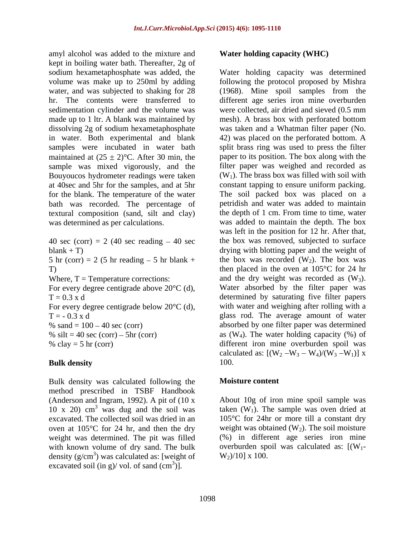amyl alcohol was added to the mixture and kept in boiling water bath. Thereafter, 2g of sample was mixed vigorously, and the Bouyoucos hydrometer readings were taken at 40sec and 5hr for the samples, and at 5hr bath was recorded. The percentage of textural composition (sand, silt and clay)

40 sec (corr) = 2 (40 sec reading  $-40$  sec 5 hr (corr) = 2 (5 hr reading  $-$  5 hr blank +

For every degree centigrade above 20°C (d),

For every degree centigrade below 20°C (d),

Bulk density was calculated following the **Moisture content** method prescribed in TSBF Handbook (Anderson and Ingram, 1992). A pit of (10 x 10 x 20) cm<sup>3</sup> was dug and the soil was taken  $(W_1)$ . The sample was oven dried at excavated. The collected soil was dried in an 105°C for 24hr or more till a constant dry oven at 105°C for 24 hr, and then the dry weight was determined. The pit was filled with known volume of dry sand. The bulk density  $(g/cm^3)$  was calculated as: [weight of  $W_2$ )/10] x 100. excavated soil (in g)/ vol. of sand  $(cm<sup>3</sup>)$ ]. )].

# **Water holding capacity (WHC)**

sodium hexametaphosphate was added, the Water holding capacity was determined volume was make up to 250ml by adding following the protocol proposed by Mishra water, and was subjected to shaking for 28 (1968). Mine spoil samples from the hr. The contents were transferred to different age series iron mine overburden sedimentation cylinder and the volume was were collected, air dried and sieved (0.5 mm made up to 1 ltr. A blank was maintained by mesh). A brass box with perforated bottom dissolving 2g of sodium hexametaphosphate was taken and a Whatman filter paper (No. in water. Both experimental and blank 42) was placed on the perforated bottom. A samples were incubated in water bath split brass ring was used to press the filter maintained at  $(25 \pm 2)$ °C. After 30 min, the paper to its position. The box along with the for the blank. The temperature of the water The soil packed box was placed on a was determined as per calculations. was added to maintain the depth. The box blank + T) drying with blotting paper and the weight of T) then placed in the oven at  $105^{\circ}$ C for 24 hr Where,  $T = T$ emperature corrections: and the dry weight was recorded as  $(W_3)$ .  $T = 0.3$  x d determined by saturating five filter papers  $T = -0.3$  x d glass rod. The average amount of water % sand  $= 100 - 40$  sec (corr) absorbed by one filter paper was determined % silt = 40 sec (corr) - 5hr (corr) as  $(W_4)$ . The water holding capacity (%) of % clay = 5 hr (corr) different iron mine overburden spoil was **Bulk density** filter paper was weighed and recorded as  $(W<sub>1</sub>)$ . The brass box was filled with soil with constant tapping to ensure uniform packing. petridish and water was added to maintain the depth of 1 cm. From time to time, water was left in the position for 12 hr. After that, the box was removed, subjected to surface the box was recorded  $(W_2)$ . The box was Water absorbed by the filter paper was with water and weighing after rolling with a calculated as:  $[(W_2-W_3-W_4)/(W_3-W_1)]$  x 100.

### **Moisture content**

About 10g of iron mine spoil sample was weight was obtained  $(W_2)$ . The soil moisture (%) in different age series iron mine overburden spoil was calculated as:  $[(W_1 W_2$ )/10] x 100.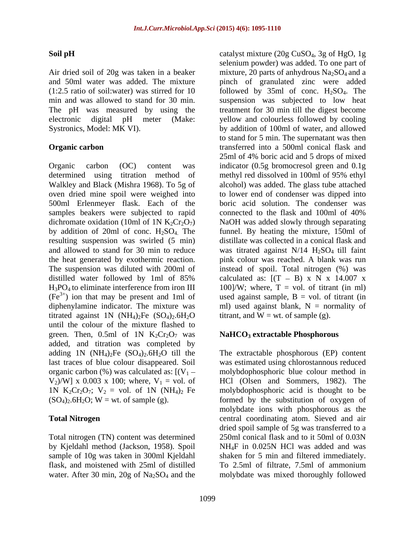determined using titration method of methyl red dissolved in 100ml of 95% ethyl Walkley and Black (Mishra 1968). To 5g of samples beakers were subjected to rapid connected to the flask and 100ml of 40% titrated against 1N  $(NH_4)_2$ Fe  $(SO_4)_2.6H_2O$ until the colour of the mixture flashed to green. Then, 0.5ml of 1N  $K_2Cr_2O_7$  was added, and titration was completed by adding 1N  $(NH_4)_2$ Fe  $(SO_4)_2.6H_2O$  till the organic carbon (%) was calculated as:  $[(V_1 V_2$ /W] x 0.003 x 100; where,  $V_1$  = vol. of 1N K<sub>2</sub>Cr<sub>2</sub>O<sub>7</sub>; V<sub>2</sub> = vol. of 1N (NH<sub>4</sub>)<sub>2</sub> Fe (SO<sub>4</sub>)<sub>2</sub>.6H<sub>2</sub>O; W = wt. of sample (g).

Total nitrogen (TN) content was determined by Kjeldahl method (Jackson, 1958). Spoil water. After 30 min, 20g of Na<sub>2</sub>SO<sub>4</sub> and the

**Soil pH** catalyst mixture (20g CuSO<sub>4</sub>, 3g of HgO, 1g Air dried soil of 20g was taken in a beaker mixture, 20 parts of anhydrous  $Na<sub>2</sub>SO<sub>4</sub>$  and a and 50ml water was added. The mixture pinch of granulated zincwere added  $(1:2.5 \text{ ratio of soil:water})$  was stirred for 10 followed by 35ml of conc.  $H_2SO_4$ . The min and was allowed to stand for 30 min. Suspension was subjected to low heat The pH was measured by using the treatment for 30 min till the digest become electronic digital pH meter (Make: yellow and colourless followed by cooling Systronics, Model: MK VI). by addition of 100ml of water, and allowed **Organic carbon** transferred into a 500ml conical flask and Organic carbon (OC) content was indicator (0.5g bromocresol green and 0.1g oven dried mine spoil were weighed into to lower end of condenser was dipped into 500ml Erlenmeyer flask. Each of the boric acid solution. The condenser was dichromate oxidation (10ml of 1N  $K_2Cr_2O_7$ ) NaOH was added slowly through separating by addition of 20ml of conc.  $H_2SO_4$ . The funnel. By heating the mixture, 150ml of resulting suspension was swirled (5 min) distillate was collected in a conical flask and and allowed to stand for 30 min to reduce was titrated against  $N/14$   $H<sub>2</sub>SO<sub>4</sub>$  till faint the heat generated by exothermic reaction. pink colour was reached. A blank was run The suspension was diluted with 200ml of instead of spoil. Total nitrogen (%) was distilled water followed by 1ml of  $85\%$  calculated as:  $[(T - B) \times N \times 14.007 \times$  $H_3PO_4$  to eliminate interference from iron III 100]/W; where, T = vol. of titrant (in ml)  $(Fe<sup>3+</sup>)$  ion that may be present and 1ml of used against sample, B = vol. of titrant (in diphenylamine indicator. The mixture was ml) used against blank, N = normality of selenium powder) was added. To one part of to stand for 5 min. The supernatant was then 25ml of 4% boric acid and 5 drops of mixed methyl red dissolved in 100ml of 95% ethyl alcohol) was added. The glass tube attached connected to the flask and 100ml of 40% titrant, and  $W = wt$ . of sample (g).

### **NaHCO3 extractable Phosphorous**

last traces of blue colour disappeared. Soil was estimated using chlorostannous reduced  $(SO_4)_2.6H_2O$ ; W = wt. of sample (g). formed by the substitution of oxygen of **Total Nitrogen** central coordinating atom. Sieved and air sample of 10g was taken in 300ml Kjeldahl shaken for 5 min and filtered immediately. flask, and moistened with 25ml of distilled To 2.5ml of filtrate, 7.5ml of ammonium The extractable phosphorous (EP) content molybdophosphoric blue colour method in HCl (Olsen and Sommers, 1982). The molybdophosphoric acid is thought to be molybdate ions with phosphorous as the dried spoil sample of 5g was transferred to a 250ml conical flask and to it 50ml of 0.03N NH4F in 0.025N HCl was added and was molybdate was mixed thoroughly followed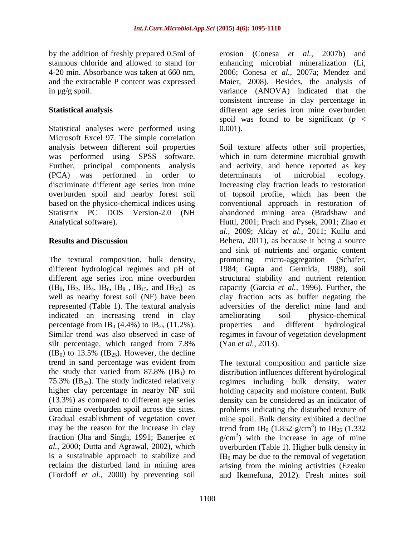by the addition of freshly prepared 0.5ml of erosion (Conesa *et al.*, 2007b) and

Statistical analyses were performed using  $0.001$ . Microsoft Excel 97. The simple correlation

The textural composition, bulk density, promoting micro-aggregation (Schafer, well as nearby forest soil (NF) have been indicated an increasing trend in clay ameliorating soil physico-chemical percentage from IB<sub>0</sub> (4.4%) to IB<sub>25</sub> (11.2%). properties and different hydrological  $(IB<sub>0</sub>)$  to 13.5%  $(IB<sub>25</sub>)$ . However, the decline (Tordoff *et al.,* 2000) by preventing soil and Ikemefuna, 2012). Fresh mines soil

stannous chloride and allowed to stand for enhancing microbial mineralization (Li, 4-20 min. Absorbance was taken at 660 nm, 2006; Conesa *et al.,* 2007a; Mendez and and the extractable P content was expressed Maier, 2008). Besides, the analysis of in µg/g spoil. variance (ANOVA) indicated that the **Statistical analysis** different age series iron mine overburden erosion (Conesa *et al.,* 2007b) and consistent increase in clay percentage in spoil was found to be significant ( $p <$ 0.001).

analysis between different soil properties Soil texture affects other soil properties, was performed using SPSS software. which in turn determine microbial growth Further, principal components analysis and activity, and hence reported as key (PCA) was performed in order to determinants of microbial ecology. discriminate different age series iron mine Increasing clay fraction leads to restoration overburden spoil and nearby forest soil of topsoil profile, which has been the based on the physico-chemical indices using conventional approach in restoration of Statistrix PC DOS Version-2.0 (NH abandoned mining area (Bradshaw and Analytical software). Huttl, 2001; Prach and Pysek, 2001; Zhao *et*  **Results and Discussion** Behera, 2011), as because it being a source different hydrological regimes and pH of 1984; Gupta and Germida, 1988), soil different age series iron mine overburden structural stability and nutrient retention  $(IB_0, IB_2, IB_4, IB_6, IB_8, IB_{15}, and IB_{25})$  as capacity (Garcia *et al.,* 1996). Further, the represented (Table 1). The textural analysis adversities of the derelict mine land and Similar trend was also observed in case of regimes in favour of vegetation development silt percentage, which ranged from 7.8% (Yan *et al.*, 2013). determinants of microbial ecology. *al.,* 2009; Alday *et al.,* 2011; Kullu and and sink of nutrients and organic content promoting micro-aggregation (Schafer, clay fraction acts as buffer negating the ameliorating soil physico-chemical properties and different hydrological (Yan *et al.,* 2013).

trend in sand percentage was evident from The textural composition and particle size the study that varied from  $87.8\%$  (IB<sub>0</sub>) to distribution influences different hydrological 75.3% ( $IB_{25}$ ). The study indicated relatively regimes including bulk density, water higher clay percentage in nearby NF soil holding capacity and moisture content. Bulk (13.3%) as compared to different age series density can be considered as an indicator of iron mine overburden spoil across the sites. problems indicating the disturbed texture of Gradual establishment of vegetation cover mine spoil. Bulk density exhibited a decline may be the reason for the increase in clay trend from IB<sub>0</sub>  $(1.852 \text{ g/cm}^3)$  to IB<sub>25</sub>  $(1.332 \text{ g/cm}^3)$ fraction (Jha and Singh, 1991; Banerjee  $et$  g/cm<sup>3</sup>) with the increase in age of mine *al.,* 2000; Dutta and Agrawal, 2002), which overburden (Table 1). Higher bulk density in is a sustainable approach to stabilize and  $IB_0$  may be due to the removal of vegetation reclaim the disturbed land in mining area arising from the mining activities (Ezeaku  $3)$  to ID. (1.222) ) to  $IB_{25}$  (1.332)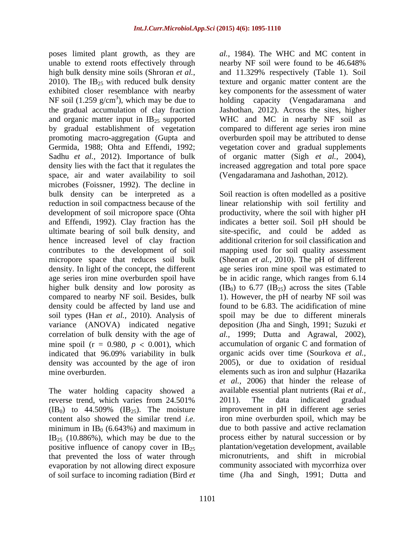poses limited plant growth, as they are unable to extend roots effectively through nearby NF soil were found to be 46.648% high bulk density mine soils (Shroran *et al.,* and 11.329% respectively (Table 1). Soil 2010). The  $IB_{25}$  with reduced bulk density texture and organic matter content are the exhibited closer resemblance with nearby key components for the assessment of water NF soil (1.259 g/cm<sup>3</sup>), which may be due to holding capacity (Vengadaramana and the gradual accumulation of clay fraction Jashothan, 2012). Across the sites, higher and organic matter input in  $IB_{25}$  supported WHC and MC in nearby NF soil as by gradual establishment of vegetation compared to different age series iron mine promoting macro-aggregation (Gupta and overburden spoil may be attributed to dense Germida, 1988; Ohta and Effendi, 1992; vegetation cover and gradual supplements Sadhu *et al.,* 2012). Importance of bulk of organic matter (Sigh *et al.,* 2004), density lies with the fact that it regulates the increased aggregation and total pore space space, air and water availability to soil microbes (Foissner, 1992). The decline in ultimate bearing of soil bulk density, and hence increased level of clay fraction micropore space that reduces soil bulk age series iron mine overburden spoil have compared to nearby NF soil. Besides, bulk soil types (Han *et al.,* 2010). Analysis of mine spoil ( $r = 0.980$ ,  $p < 0.001$ ), which indicated that 96.09% variability in bulk density was accounted by the age of iron

The water holding capacity showed a content also showed the similar trend *i.e.* minimum in  $IB<sub>0</sub>$  (6.643%) and maximum in  $IB_{25}$  (10.886%), which may be due to the positive influence of canopy cover in  $IB_{25}$ that prevented the loss of water through evaporation by not allowing direct exposure of soil surface to incoming radiation (Bird *et* 

*al.,* 1984). The WHC and MC content in nearby NF soil were found to be 46.648% (Vengadaramana and Jashothan, 2012).

bulk density can be interpreted as a Soil reaction is often modelled as a positive reduction in soil compactness because of the linear relationship with soil fertility and development of soil micropore space (Ohta productivity, where the soil with higher pH and Effendi, 1992). Clay fraction has the indicates a better soil. Soil pH should be contributes to the development of soil mapping used for soil quality assessment density. In light of the concept, the different age series iron mine spoil was estimated to higher bulk density and low porosity as  $(IB_0)$  to 6.77  $(IB_{25})$  across the sites (Table density could be affected by land use and found to be 6.83. The acidification of mine variance (ANOVA) indicated negative deposition (Jha and Singh, 1991; Suzuki *et*  correlation of bulk density with the age of *al.,* 1999; Dutta and Agrawal, 2002), mine overburden. elements such as iron and sulphur (Hazarika reverse trend, which varies from 24.501% 2011). The data indicated gradual (IB<sub>0</sub>) to 44.509% (IB<sub>25</sub>). The moisture improvement in pH in different age series site-specific, and could be added as additional criterion for soil classification and (Sheoran *et al.,* 2010). The pH of different be in acidic range, which ranges from 6.14 1). However, the pH of nearby NF soil was spoil may be due to different minerals accumulation of organic C and formation of organic acids over time (Sourkova *et al.,* 2005), or due to oxidation of residual *et al.,* 2006) that hinder the release of available essential plant nutrients (Rai *et al.,* 2011). The data indicated gradual improvement in pH in different age series iron mine overburden spoil, which may be due to both passive and active reclamation process either by natural succession or by plantation/vegetation development, available micronutrients, and shift in microbial community associated with mycorrhiza over time (Jha and Singh, 1991; Dutta and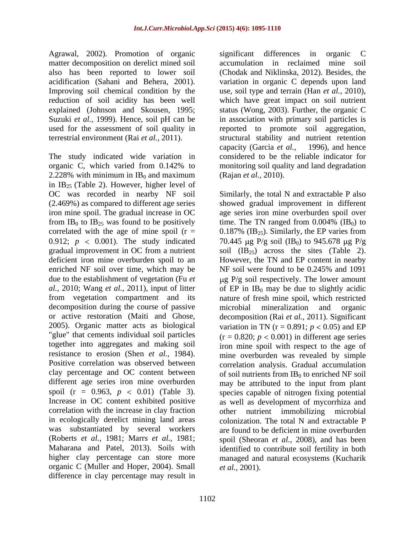Agrawal, 2002). Promotion of organic

The study indicated wide variation in organic C, which varied from 0.142% to 2.228% with minimum in IB<sub>0</sub> and maximum (Rajan *et al.*, 2010). in  $IB_{25}$  (Table 2). However, higher level of OC was recorded in nearby NF soil Similarly, the total N and extractable P also (2.469%) as compared to different age series showed gradual improvement in different iron mine spoil. The gradual increase in OC age series iron mine overburden spoil over from IB<sub>0</sub> to IB<sub>25</sub> was found to be positively time. The TN ranged from 0.004% (IB<sub>0</sub>) to correlated with the age of mine spoil ( $r = 0.187\%$  (IB<sub>25</sub>). Similarly, the EP varies from correlated with the age of mine spoil ( $r = 0.187\%$  (IB<sub>25</sub>). Similarly, the EP varies from 0.912;  $p < 0.001$ ). The study indicated  $70.445 \mu g$  P/g soil (IB<sub>0</sub>) to 945.678  $\mu g$  P/g gradual improvement in OC from a nutrient soil  $(IB_{25})$  across the sites (Table 2). deficient iron mine overburden spoil to an However, the TN and EP content in nearby enriched NF soil over time, which may be NF soil were found to be 0.245% and 1091 due to the establishment of vegetation (Fu *et*  $\mu$ g P/g soil respectively. The lower amount  $al., 2010$ ; Wang *et al.*, 2011), input of litter of EP in IB<sub>0</sub> may be due to slightly acidic from vegetation compartment and its decomposition during the course of passive microbial mineralization and organic or active restoration (Maiti and Ghose, decomposition (Rai *et al.,* 2011). Significant 2005). Organic matter acts as biological variation in TN ( $r = 0.891$ ;  $p < 0.05$ ) and EP "glue" that cements individual soil particles  $(r = 0.820; p < 0.001)$  in different age series together into aggregates and making soil iron mine spoil with respect to the age of resistance to erosion (Shen *et al.,* 1984). mine overburden was revealed by simple Positive correlation was observed between clay percentage and OC content between of soil nutrients from  $IB_0$  to enriched NF soil different age series iron mine overburden may be attributed to the input from plant spoil ( $r = 0.963$ ,  $p < 0.01$ ) (Table 3). species capable of nitrogen fixing potential Increase in OC content exhibited positive as well as development of mycorrhiza and correlation with the increase in clay fraction in ecologically derelict mining land areas was substantiated by several workers (Roberts *et al.,* 1981; Marrs *et al.,* 1981; spoil (Sheoran *et al.,* 2008), and has been Maharana and Patel, 2013). Soils with identified to contribute soil fertility in both higher clay percentage can store more managed and natural ecosystems (Kucharik organic C (Muller and Hoper, 2004). Small difference in clay percentage may result in

1102

matter decomposition on derelict mined soil accumulation in reclaimed mine soil also has been reported to lower soil (Chodak and Niklinska, 2012). Besides, the acidification (Sahani and Behera, 2001). variation in organic C depends upon land Improving soil chemical condition by the use, soil type and terrain (Han *et al.,* 2010), reduction of soil acidity has been well which have great impact on soil nutrient explained (Johnson and Skousen, 1995; status (Wong*,* 2003). Further, the organic C Suzuki *et al.*, 1999). Hence, soil pH can be in association with primary soil particles is used for the assessment of soil quality in reported to promote soil aggregation, terrestrial environment (Rai *et al.,* 2011). structural stability and nutrient retention significant differences in organic C capacity (Garcia *et al.,* 1996), and hence considered to be the reliable indicator for monitoring soil quality and land degradation (Rajan *et al.,* 2010).

> time. The TN ranged from  $0.004\%$  (IB<sub>0</sub>) to NF soil were found to be 0.245% and 1091 nature of fresh mine spoil, which restricted microbial mineralization and organic correlation analysis. Gradual accumulation other nutrient immobilizing microbial colonization. The total N and extractable P are found to be deficient in mine overburden *et al.,* 2001).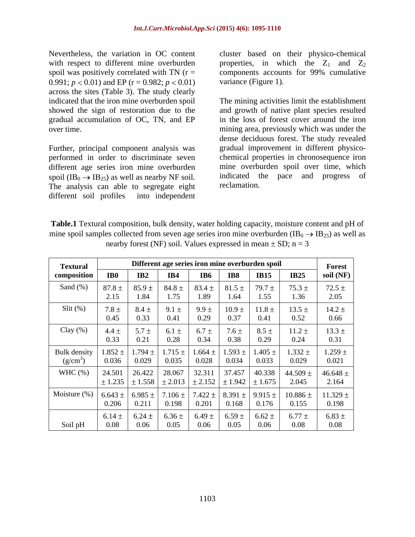Nevertheless, the variation in OC content cluster based on their physico-chemical with respect to different mine overburden properties, in which the  $Z_1$  and  $Z_2$ spoil was positively correlated with TN (r = components accounts for 99% cumulative 0.991;  $p < 0.01$ ) and EP ( $r = 0.982$ ;  $p < 0.01$ ) across the sites (Table 3). The study clearly

Further, principal component analysis was performed in order to discriminate seven different age series iron mine overburden spoil (IB<sub>0</sub>  $\rightarrow$  IB<sub>25</sub>) as well as nearby NF soil. indicated the reclamation. The analysis can able to segregate eight different soil profiles into independent

variance (Figure 1).

indicated that the iron mine overburden spoil The mining activities limit the establishment showed the sign of restoration due to the and growth of native plant species resulted gradual accumulation of OC, TN, and EP in the loss of forest cover around the iron over time. mining area, previously which was under the dense deciduous forest. The study revealed gradual improvement in different physico chemical properties in chronosequence iron mine overburden spoil over time, which indicated the pace and progress of reclamation.

**Table.1** Textural composition, bulk density, water holding capacity, moisture content and pH of mine spoil samples collected from seven age series iron mine overburden (IB<sub>0</sub>  $\rightarrow$  IB<sub>25</sub>) as well as nearby forest (NF) soil. Values expressed in mean  $\pm$  SD; n = 3

| <b>Textural</b>     | Different age series iron mine overburden spoil<br>Forest |                                |                      |                                  |             |                                                           |                                 |                          |  |  |
|---------------------|-----------------------------------------------------------|--------------------------------|----------------------|----------------------------------|-------------|-----------------------------------------------------------|---------------------------------|--------------------------|--|--|
| composition         | IB <sub>0</sub>                                           | IB2                            | IB4                  | <b>IB6</b>                       | IB8         | <b>IB15</b>                                               | <b>IB25</b>                     | soil (NF)                |  |  |
| Sand $(\%)$         | $87.8 \pm$                                                | $85.9 \pm$                     | $84.8 \pm$           | $83.4 \pm$                       | $81.5 \pm$  | $79.7 \pm$                                                | $75.3 \pm$                      | $72.5 \pm$               |  |  |
|                     | 2.15                                                      | 1.84                           | 1.75                 | 1.89                             | 1.64        | 1.55                                                      | 1.36                            | 2.05                     |  |  |
| Slit(%)             | 7.8 $\pm$                                                 | $8.4 \pm$                      | $9.1 \pm$            | $9.9 \pm$                        | $10.9 \pm$  | $11.8 \pm$                                                | $13.5 \pm$                      | $14.2 \pm$               |  |  |
|                     | 0.45                                                      | 0.33                           | 0.41                 | 0.29                             | 0.37        | 0.41                                                      | 0.52                            | 0.66                     |  |  |
| Clay $(\%)$         | $4.4 \pm$                                                 | $5.7 \pm$                      | $6.1 \pm$            | $6.7 \pm$                        | $7.6 \pm$   | $8.5 \pm$                                                 | $11.2 \pm$                      | $13.3 \pm$               |  |  |
|                     | 0.33                                                      | 0.21                           | 0.28                 | 0.34                             | 0.38        | 0.29                                                      | 0.24                            | 0.31                     |  |  |
| <b>Bulk</b> density | 0.036                                                     | $1.852 \pm   1.794 \pm  $      | $1.715 \pm$          | $1.664 \pm$                      | $1.593 \pm$ | $1.405 \pm$                                               | $1.332 \pm$                     | $1.259 \pm$              |  |  |
| $(g/cm^{3})$        |                                                           | 0.029                          | 0.035                | 0.028                            | 0.034       | 0.033                                                     | 0.029                           | 0.021                    |  |  |
| WHC $(\%)$          | 24.501<br>± 1.235                                         | 26.422<br>$\pm 1.558$          | 28.067               | 32.311                           | 37.457      | 40.338<br>$\pm 2.013$ $\pm 2.152$ $\pm 1.942$ $\pm 1.675$ | $44.509 \pm$<br>2.045           | 46.648 $\pm$<br>2.164    |  |  |
| Moisture $(\%)$     | 0.206                                                     | $6.643 \pm 6.985 \pm$<br>0.211 | $7.106 \pm$<br>0.198 | 7.422 $\pm$ 8.391 $\pm$<br>0.201 | 0.168       | 0.176                                                     | $9.915 \pm 10.886 \pm$<br>0.155 | $11.329\,\pm\,$<br>0.198 |  |  |
| Soil pH             | $6.14 \pm$                                                | $6.24 \pm$                     | $6.36 \pm$           | $6.49 \pm$                       | $6.59 \pm$  | $6.62 \pm$                                                | $6.77 \pm$                      | $6.83 \pm$               |  |  |
|                     | 0.08                                                      | 0.06                           | 0.05                 | 0.06                             | 0.05        | 0.06                                                      | 0.08                            | 0.08                     |  |  |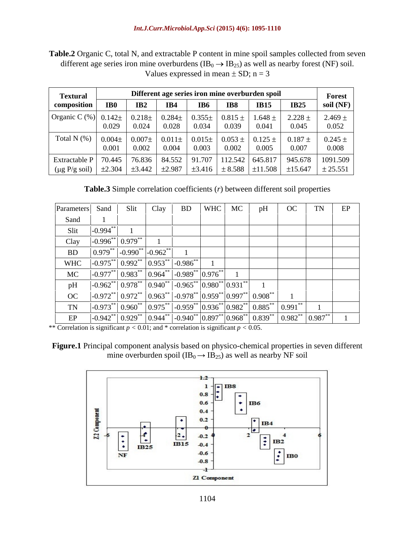**Table.2** Organic C, total N, and extractable P content in mine spoil samples collected from seven different age series iron mine overburdens (IB<sub>0</sub>  $\rightarrow$  IB<sub>25</sub>) as well as nearby forest (NF) soil. Values expressed in mean  $\pm$  SD; n = 3

| <b>Textural</b>                                                                                                          | Different age series iron mine overburden spoil |                     |       |            |            |             |                                                                                                                                                                                                                                                                                                                                                           |                       |  |  |
|--------------------------------------------------------------------------------------------------------------------------|-------------------------------------------------|---------------------|-------|------------|------------|-------------|-----------------------------------------------------------------------------------------------------------------------------------------------------------------------------------------------------------------------------------------------------------------------------------------------------------------------------------------------------------|-----------------------|--|--|
| composition                                                                                                              | IB <sub>0</sub>                                 | IB2                 | IB4   | <b>IB6</b> | <b>IB8</b> | <b>IB15</b> | <b>IB25</b>                                                                                                                                                                                                                                                                                                                                               | Forest<br>soil $(NF)$ |  |  |
| Organic C (%)  $0.142 \pm$   $0.218 \pm$   $0.284 \pm$   $0.355 \pm$   $0.815 \pm$   $1.648 \pm$   $2.228 \pm$           |                                                 |                     |       |            |            |             |                                                                                                                                                                                                                                                                                                                                                           | $2.469 \pm$           |  |  |
|                                                                                                                          | 0.029                                           | 0.024               | 0.028 | 0.034      | 0.039      | 0.041       | 0.045                                                                                                                                                                                                                                                                                                                                                     | 0.052                 |  |  |
| Total N $(\%)$                                                                                                           | $0.004\pm$                                      | $0.007\pm 0.011\pm$ |       |            |            |             | $\vert 0.015 \pm \vert 0.053 \pm \vert 0.125 \pm \vert 0.187 \pm \vert 0.015 \pm \vert 0.0187 \pm \vert 0.0187 \pm \vert 0.0187 \pm \vert 0.0187 \pm \vert 0.0187 \pm \vert 0.0187 \pm \vert 0.0187 \pm \vert 0.0187 \pm \vert 0.0187 \pm \vert 0.0187 \pm \vert 0.0187 \pm \vert 0.0187 \pm \vert 0.0187 \pm \vert 0.0187 \pm \vert 0.0187 \pm \vert 0.$ | $0.245 \pm$           |  |  |
|                                                                                                                          | 0.001                                           | 0.002               | 0.004 | 0.003      | 0.002      | 0.005       | 0.007                                                                                                                                                                                                                                                                                                                                                     | 0.008                 |  |  |
| Extractable P   $70.445$                                                                                                 |                                                 |                     |       |            |            |             | 76.836   84.552   91.707   112.542   645.817   945.678                                                                                                                                                                                                                                                                                                    | 1091.509              |  |  |
| $\mid$ (µg P/g soil)   $\pm 2.304$   $\pm 3.442$   $\pm 2.987$   $\pm 3.416$   $\pm 8.588$   $\pm 11.508$   $\pm 15.647$ |                                                 |                     |       |            |            |             |                                                                                                                                                                                                                                                                                                                                                           | ± 25.551              |  |  |

**Table.3** Simple correlation coefficients (*r*) between different soil properties

| Parameters Sand |                       | Slit                                  | <b>BD</b><br>Clay                          | WHC                                                                            | MC | OC<br>pH   | TTA.             | EP |
|-----------------|-----------------------|---------------------------------------|--------------------------------------------|--------------------------------------------------------------------------------|----|------------|------------------|----|
| Sand            |                       |                                       |                                            |                                                                                |    |            |                  |    |
| Slit            | $-0.994$              |                                       |                                            |                                                                                |    |            |                  |    |
| Clay            | $-0.996$              | 0.979                                 |                                            |                                                                                |    |            |                  |    |
| <b>BD</b>       | $0.979**$             | $\left  -0.990^{**} \right $ -0.962** |                                            |                                                                                |    |            |                  |    |
| WHC             | $ -0.975^{**} $       | $0.992^*$<br>$ 0.953\rangle$          | $-0.986$ **                                |                                                                                |    |            |                  |    |
| MC              | $-0.977$              | 0.983                                 | $\left  0.964^{**} \right $ -0.989 $^{**}$ | $0.976***$                                                                     |    |            |                  |    |
| pH              | $-0.962$ <sup>*</sup> | $ 0.978^*$                            |                                            | ** $\vert 0.940^{**} \vert$ -0.965** $\vert 0.980^{**} \vert 0.931^{**} \vert$ |    |            |                  |    |
| OC              | $-0.972**$            | $0.972**$                             | $-0.978**$<br>0.963                        | $ 0.959^{**} 0.997^{*}$                                                        |    | $0.908***$ |                  |    |
| <b>TN</b>       | $-0.973$              | $0.960^{\circ}$<br>0.975              | $\vert$ -0.959 <sup>**</sup>               | $\frac{1}{2}$   0.936**   0.982**   0.885**                                    |    | 0.991      |                  |    |
| EP              | $-0.942$ <sup>*</sup> | $10.929**$                            |                                            | $\frac{1}{2}$   0.944**   -0.940**   0.897**   0.968**   0.839**               |    | $0.982**$  | $\big  0.987$ ** |    |

\*\* Correlation is significant  $p < 0.01$ ; and \* correlation is significant  $p < 0.05$ .

**Figure.1** Principal component analysis based on physico-chemical properties in seven different mine overburden spoil (IB<sub>0</sub>  $\rightarrow$  IB<sub>25</sub>) as well as nearby NF soil

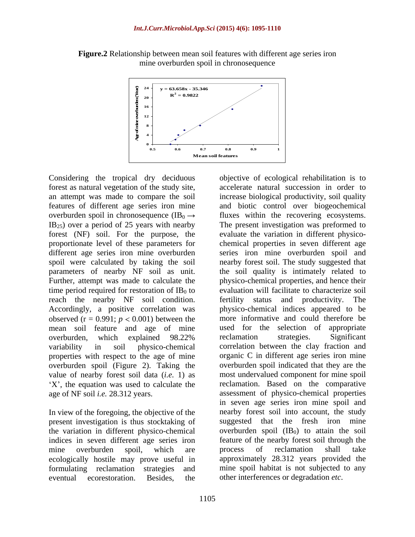

**Figure.2** Relationship between mean soil features with different age series iron mine overburden spoil in chronosequence

forest as natural vegetation of the study site, Further, attempt was made to calculate the time period required for restoration of  $IB_0$  to<br>reach the nearby NF soil condition. observed  $(r = 0.991; p < 0.001)$  between the mean soil feature and age of mine properties with respect to the age of mine overburden spoil (Figure 2). Taking the value of nearby forest soil data (*i.e.* 1) as  $X'$ , the equation was used to calculate the

In view of the foregoing, the objective of the present investigation is thus stocktaking of the variation in different physico-chemical indices in seven different age series iron eventual ecorestoration. Besides, the other interferences or degradation *etc*.

Considering the tropical dry deciduous objective of ecological rehabilitation is to an attempt was made to compare the soil increase biological productivity, soil quality features of different age series iron mine and biotic control over biogeochemical overburden spoil in chronosequence  $(IB_0 \rightarrow$  fluxes within the recovering ecosystems.  $IB<sub>25</sub>$ ) over a period of 25 years with nearby The present investigation was preformed to forest (NF) soil. For the purpose, the evaluate the variation in different physico proportionate level of these parameters for chemical properties in seven different age different age series iron mine overburden series iron mine overburden spoil and spoil were calculated by taking the soil nearby forest soil. The study suggested that parameters of nearby NF soil as unit. the soil quality is intimately related to reach the nearby NF soil condition. fertility status and productivity. The Accordingly, a positive correlation was physico-chemical indices appeared to be overburden, which explained 98.22% variability in soil physico-chemical correlation between the clay fraction and age of NF soil *i.e.* 28.312 years. assessment of physico-chemical properties mine overburden spoil, which are process of reclamation shall take ecologically hostile may prove useful in approximately 28.312 years provided the formulating reclamation strategies and mine spoil habitat is not subjected to any accelerate natural succession in order to physico-chemical properties, and hence their evaluation will facilitate to characterize soil more informative and could therefore be used for the selection of appropriate reclamation strategies. Significant organic C in different age series iron mine overburden spoil indicated that they are the most undervalued component for mine spoil reclamation. Based on the comparative in seven age series iron mine spoil and nearby forest soil into account, the study suggested that the fresh iron mine overburden spoil  $(IB<sub>0</sub>)$  to attain the soil feature of the nearby forest soil through the process of reclamation shall take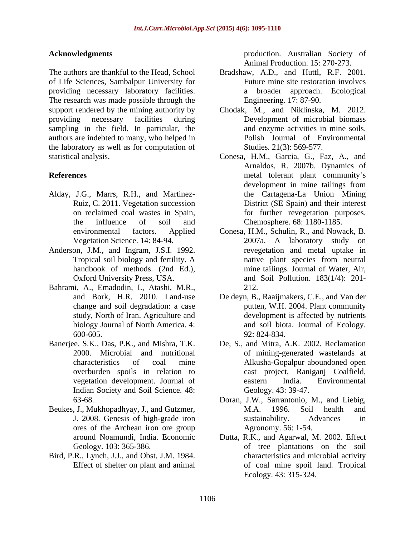The authors are thankful to the Head, School Bradshaw, A.D., and Huttl, R.F. 2001. of Life Sciences, Sambalpur University for providing necessary laboratory facilities. The research was made possible through the support rendered by the mining authority by Chodak, M., and Niklinska, M. 2012. providing necessary facilities during Development of microbial biomass sampling in the field. In particular, the authors are indebted to many, who helped in the laboratory as well as for computation of statistical analysis. Conesa, H.M., Garcia, G., Faz, A., and

- Alday, J.G., Marrs, R.H., and Martinez-
- Anderson, J.M., and Ingram, J.S.I. 1992.
- Bahrami, A., Emadodin, I., Atashi, M.R.,
- Banerjee, S.K., Das, P.K., and Mishra, T.K. overburden spoils in relation to Indian Society and Soil Science. 48:
- Beukes, J., Mukhopadhyay, J., and Gutzmer, M.A. 1996. Soil health and ores of the Archean iron ore group
- Bird, P.R., Lynch, J.J., and Obst, J.M. 1984.<br>Effect of shelter on plant and animal

**Acknowledgments** production. Australian Society of Animal Production. 15: 270-273.

- Future mine site restoration involves a broader approach. Ecological Engineering. 17: 87-90.
- and enzyme activities in mine soils. Polish Journal of Environmental Studies*.* 21(3): 569-577.
- **References Exercise 2.1 References EXERC EXERC EXERC EXERC EXERC EXERC EXERC EXERC EXERC EXERC EXERC EXERC EXERC** Ruiz, C. 2011. Vegetation succession District (SE Spain) and their interest on reclaimed coal wastes in Spain, for further revegetation purposes. the influence of soil and Chemosphere. 68: 1180-1185. Arnaldos, R. 2007b. Dynamics of development in mine tailings from the Cartagena-La Union Mining
	- environmental factors. Applied Conesa, H.M., Schulin, R., and Nowack, B. Vegetation Science. 14: 84-94. 2007a. A laboratory study on Tropical soil biology and fertility. A handbook of methods. (2nd Ed.), mine tailings. Journal of Water, Air, Oxford University Press, USA. and Soil Pollution. 183(1/4): 201 revegetation and metal uptake in native plant species from neutral 212.
	- and Bork, H.R. 2010. Land-use De deyn, B., Raaijmakers, C.E., and Van der change and soil degradation: a case putten, W.H. 2004. Plant community study, North of Iran. Agriculture and development is affected by nutrients biology Journal of North America. 4: and soil biota. Journal of Ecology. 600-605. 92: 824-834. 92: 824-834.
	- 2000. Microbial and nutritional of mining-generated wastelands at characteristics of coal mine Alkusha-Gopalpur aboundoned open vegetation development. Journal of De, S., and Mitra, A.K. 2002. Reclamation cast project, Raniganj Coalfield, eastern India. Environmental Geology. 43: 39-47.
	- 63-68. Doran, J.W., Sarrantonio, M., and Liebig, J. 2008. Genesis of high-grade iron M.A. 1996. Soil health and sustainability. Advances in Agronomy. 56: 1-54.
	- around Noamundi, India. Economic Dutta, R.K., and Agarwal, M. 2002. Effect Geology. 103: 365-386. The soil of tree plantations on the soil Effect of shelter on plant and animal of coal mine spoil land. Tropical characteristics and microbial activity Ecology. 43: 315-324.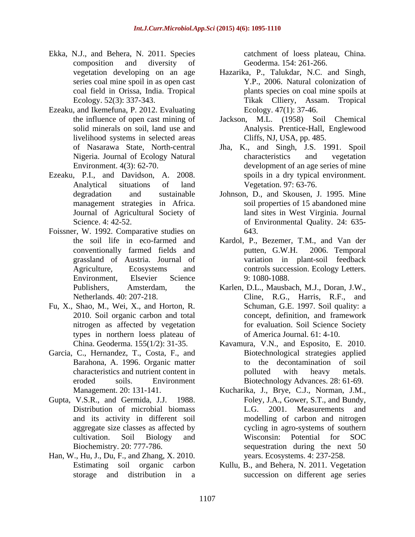- Ekka, N.J., and Behera, N. 2011. Species composition and diversity of
- Ezeaku, and Ikemefuna, P. 2012. Evaluating livelihood systems in selected areas
- Ezeaku, P.I., and Davidson, A. 2008.
- Foissner, W. 1992. Comparative studies on 643. grassland of Austria. Journal of
- Fu, X., Shao, M., Wei, X., and Horton, R. 2010. Soil organic carbon and total types in northern loess plateau of China. Geoderma. 155(1/2): 31-35.
- Garcia, C., Hernandez, T., Costa, F., and Barahona, A. 1996. Organic matter
- Gupta, V.S.R., and Germida, J.J. 1988.
- Han, W., Hu, J., Du, F., and Zhang, X. 2010.

catchment of loess plateau, China. Geoderma. 154: 261-266.

- vegetation developing on an age Hazarika, P., Talukdar, N.C. and Singh, series coal mine spoil in as open cast Y.P., 2006. Natural colonization of coal field in Orissa, India. Tropical plants species on coal mine spoils at Ecology. 52(3): 337-343. Tikak Clliery, Assam. Tropical Ecology. 47(1): 37-46.
- the influence of open cast mining of Jackson, M.L. (1958) Soil Chemical solid minerals on soil, land use and Analysis. Prentice-Hall, Englewood Cliffs, NJ, USA, pp. 485.
- of Nasarawa State, North-central Jha, K., and Singh, J.S. 1991. Spoil Nigeria. Journal of Ecology Natural Environment. 4(3): 62-70. development of an age series of mine Analytical situations of land Vegetation. 97: 63-76. characteristics and vegetation spoils in a dry typical environment. Vegetation. 97: 63-76.
- degradation and sustainable Johnson, D., and Skousen, J. 1995. Mine management strategies in Africa. soil properties of 15 abandoned mine Journal of Agricultural Society of land sites in West Virginia. Journal Science. 4: 42-52. The same of Environmental Quality. 24: 635-643.
- the soil life in eco-farmed and Kardol, P., Bezemer, T.M., and Van der conventionally farmed fields and Agriculture, Ecosystems and controls succession. Ecology Letters. Environment, Elsevier Science 9:1080-1088. putten, G.W.H. 2006. Temporal variation in plant-soil feedback 9: 1080-1088.
- Publishers, Amsterdam, the Karlen, D.L., Mausbach, M.J., Doran, J.W., Netherlands. 40: 207-218. Cline, R.G., Harris, R.F., and nitrogen as affected by vegetation for evaluation. Soil Science Society Schuman, G.E. 1997. Soil quality: a concept, definition, and framework of America Journal. 61: 4-10.
- China. Geoderma. 155(1/2): 31-35. Kavamura, V.N., and Esposito, E. 2010. characteristics and nutrient content in  $\qquad \qquad \text{polluted} \qquad \text{with} \qquad \text{heavy} \qquad \text{metals}.$ eroded soils. Environment Biotechnology Advances. 28: 61-69. Biotechnological strategies applied to the decontamination of soil polluted with heavy metals.
- Management. 20: 131-141. Kucharika, J., Brye, C.J., Norman, J.M., Distribution of microbial biomass L.G. 2001. Measurements and and its activity in different soil modelling of carbon and nitrogen aggregate size classes as affected by cycling in agro-systems of southern cultivation. Soil Biology and Biochemistry. 20: 777-786. sequestration during the next 50 Foley, J.A., Gower, S.T., and Bundy, L.G. 2001. Measurements Wisconsin: Potential for SOC years. Ecosystems. 4: 237-258.
- Estimating soil organic carbon Kullu, B., and Behera, N. 2011. Vegetation storage and distribution in a succession on different age series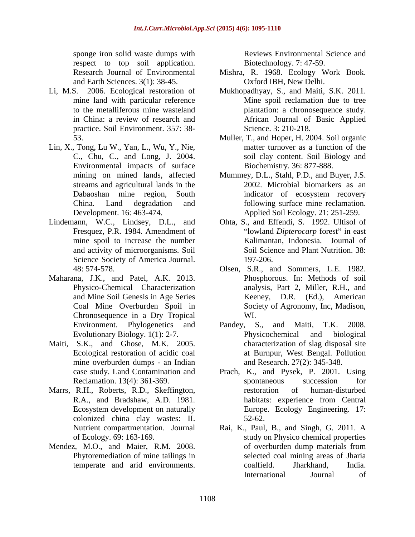sponge iron solid waste dumps with **Exercise** Reviews Environmental Science and respect to top soil application.<br>Research Journal of Environmental and Earth Sciences. 3(1): 38-45.

- Li, M.S. 2006. Ecological restoration of mine land with particular reference practice. Soil Environment. 357: 38-
- Lin, X., Tong, Lu W., Yan, L., Wu, Y., Nie, Environmental impacts of surface streams and agricultural lands in the sponge iron soil was duming with Reviews Environmental Science and space thours are the environmental of the environmental Mixtrax P. 1968. Endige, Work Book, Endige, Work Book, Endige, Work Book, Endige, T. 47-50, S. 2006
- Lindemann, W.C., Lindsey, D.L., and mine spoil to increase the number and activity of microorganisms. Soil Science Society of America Journal. 197-206.
- Maharana, J.K., and Patel, A.K. 2013. Chronosequence in a Dry Tropical
- Maiti, S.K., and Ghose, M.K. 2005. mine overburden dumps - an Indian
- Marrs, R.H., Roberts, R.D., Skeffington, colonized china clay wastes: II.
- 

Biotechnology. 7: 47-59.

- Research Journal of Environmental Mishra, R. 1968. Ecology Work Book. Oxford IBH, New Delhi.
- to the metalliferous mine wasteland plantation: a chronosequence study. in China: a review of research and African Journal of Basic Applied Mukhopadhyay, S., and Maiti, S.K. 2011. Mine spoil reclamation due to tree Science. 3: 210-218.
- 53. Muller, T., and Hoper, H. 2004. Soil organic C., Chu, C., and Long, J. 2004. soil clay content. Soil Biology and matter turnover as a function of the Biochemistry. 36: 877-888.
- mining on mined lands, affected Mummey, D.L., Stahl, P.D., and Buyer, J.S. Dabaoshan mine region, South indicator of ecosystem recovery China. Land degradation and following surface mine reclamation. Development. 16: 463-474. Applied Soil Ecology. 21: 251-259. 2002. Microbial biomarkers as an indicator of ecosystem recovery
- Fresquez, P.R. 1984. Amendment of "lowland *Dipterocarp* forest" in east Ohta, S., and Effendi, S. 1992. Ultisol of Kalimantan, Indonesia. Journal of Soil Science and Plant Nutrition. 38: 197-206.
- 48: 574-578. Olsen, S.R., and Sommers, L.E. 1982. Physico-Chemical Characterization analysis, Part 2, Miller, R.H., and and Mine Soil Genesis in Age Series Keeney, D.R. (Ed.), American Coal Mine Overburden Spoil in Society of Agronomy, Inc, Madison, Phosphorous. In: Methods of soil WI.
- Environment. Phylogenetics and Pandey, S., and Maiti, T.K. 2008. Evolutionary Biology. 1(1): 2-7. Physicochemical and biological Ecological restoration of acidic coal at Burnpur, West Bengal. Pollution Pandey, S., and Maiti, Physicochemical and biological characterization of slag disposal site and Research. 27(2): 345-348.
- case study. Land Contamination and Prach, K., and Pysek, P. 2001. Using Reclamation. 13(4): 361-369. The spontaneous succession for R.A., and Bradshaw, A.D. 1981. habitats: experience from Central Ecosystem development on naturally **Europe** Ecology Engineering. 17: spontaneous succession for restoration of human-disturbed habitats: experience from Central Europe. Ecology Engineering. 17: 52-62.
- Nutrient compartmentation. Journal Rai, K., Paul, B., and Singh, G. 2011. A of Ecology. 69: 163-169. study on Physico chemical properties Mendez, M.O., and Maier, R.M. 2008. of overburden dump materials from Phytoremediation of mine tailings in selected coal mining areas of Jharia of overburden dump materials from coalfield. Jharkhand, India. International Journal of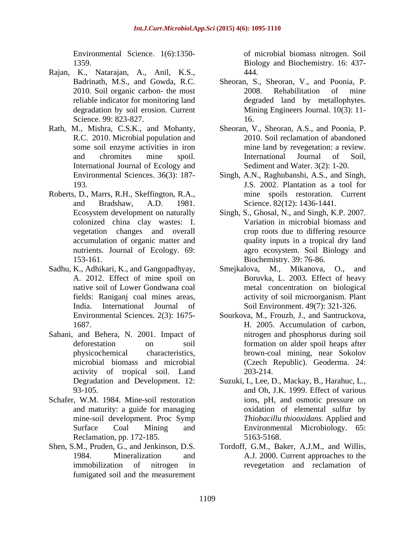Environmental Science. 1(6):1350-

- Rajan, K., Natarajan, A., Anil, K.S., Science. 99: 823-827. 16.
- Rath, M., Mishra, C.S.K., and Mohanty, R.C. 2010. Microbial population and International Journal of Ecology and
- Roberts, D., Marrs, R.H., Skeffington, R.A., colonized china clay wastes: I.
- 
- Sahani, and Behera, N. 2001. Impact of activity of tropical soil. Land
- Schafer, W.M. 1984. Mine-soil restoration Reclamation, pp. 172-185. 5163-5168.
- fumigated soil and the measurement

1359. Biology and Biochemistry. 16: 437 of microbial biomass nitrogen. Soil 444.

- Badrinath, M.S., and Gowda, R.C. Sheoran, S., Sheoran, V., and Poonia, P. 2010. Soil organic carbon- the most 2008. Rehabilitation of mine reliable indicator for monitoring land degraded land by metallophytes. degradation by soil erosion. Current Mining Engineers Journal. 10(3): 11- 2008. Rehabilitation of mine 16.
- some soil enzyme activities in iron mine land by revegetation: a review. and chromites mine spoil. International Journal of Soil, Sheoran, V., Sheoran, A.S., and Poonia, P. 2010. Soil reclamation of abandoned International Journal of Soil, Sediment and Water. 3(2): 1-20.
- Environmental Sciences. 36(3): 187- Singh, A.N., Raghubanshi, A.S., and Singh, 193. J.S. 2002. Plantation as a tool for and Bradshaw, A.D. 1981. Science. 82(12): 1436-1441. mine spoils restoration. Current
- Ecosystem development on naturally Singh, S., Ghosal, N., and Singh, K.P. 2007. vegetation changes and overall crop roots due to differing resource accumulation of organic matter and quality inputs in a tropical dry land nutrients. Journal of Ecology. 69: agro ecosystem. Soil Biology and 153-161. Biochemistry. 39: 76-86. Variation in microbial biomass and
- Sadhu, K., Adhikari, K., and Gangopadhyay, Smejkalova, M., Mikanova, O., and A. 2012. Effect of mine spoil on Boruvka, L. 2003. Effect of heavy native soil of Lower Gondwana coal metal concentration on biological fields: Raniganj coal mines areas, activity of soil microorganism. Plant India. International Journal of Soil Environment. 49(7): 321-326.
	- Environmental Sciences. 2(3): 1675- Sourkova, M., Frouzb, J., and Santruckova, 1687. H. 2005. Accumulation of carbon, deforestation on soil formation on alder spoil heaps after physicochemical characteristics, brown-coal mining, near Sokolov microbial biomass and microbial (Czech Republic). Geoderma. 24: nitrogen and phosphorus during soil 203-214.
	- Degradation and Development. 12: Suzuki, I., Lee, D., Mackay, B., Harahuc, L., 93-105. and Oh, J.K. 1999. Effect of various and maturity: a guide for managing oxidation of elemental sulfur by mine-soil development. Proc Symp *Thiobacillu thiooxidans.* Applied and Surface Coal Mining and Environmental Microbiology. 65: ions, pH, and osmotic pressure on 5163-5168.
- Shen, S.M., Pruden, G., and Jenkinson, D.S. Tordoff, G.M., Baker, A.J.M., and Willis, 1984. Mineralization and A.J. 2000. Current approaches to the immobilization of nitrogen in revegetation and reclamation of